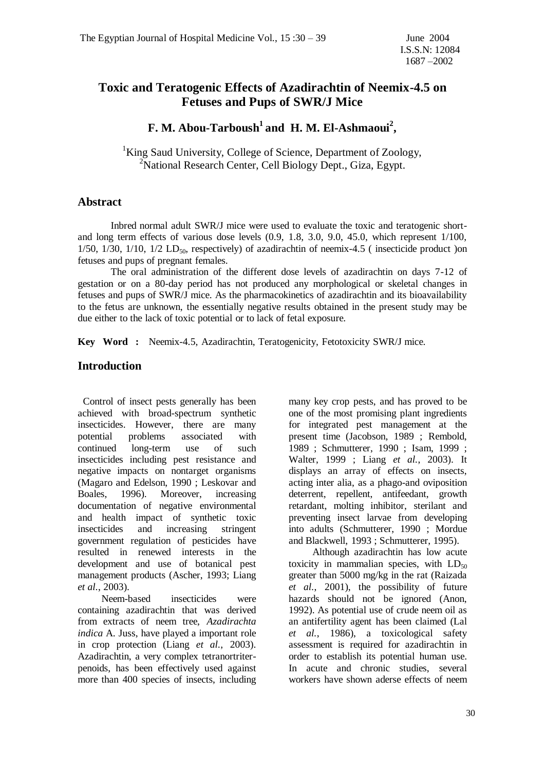# **Toxic and Teratogenic Effects of Azadirachtin of Neemix-4.5 on Fetuses and Pups of SWR/J Mice**

# **F. M. Abou-Tarboush<sup>1</sup>and H. M. El-Ashmaoui<sup>2</sup> ,**

<sup>1</sup>King Saud University, College of Science, Department of Zoology, <sup>2</sup>National Research Center, Cell Biology Dept., Giza, Egypt.

## **Abstract**

Inbred normal adult SWR/J mice were used to evaluate the toxic and teratogenic shortand long term effects of various dose levels (0.9, 1.8, 3.0, 9.0, 45.0, which represent 1/100,  $1/50$ ,  $1/30$ ,  $1/10$ ,  $1/2$  LD<sub>50</sub>, respectively) of azadirachtin of neemix-4.5 (insecticide product )on fetuses and pups of pregnant females.

The oral administration of the different dose levels of azadirachtin on days 7-12 of gestation or on a 80-day period has not produced any morphological or skeletal changes in fetuses and pups of SWR/J mice. As the pharmacokinetics of azadirachtin and its bioavailability to the fetus are unknown, the essentially negative results obtained in the present study may be due either to the lack of toxic potential or to lack of fetal exposure.

**Key Word :** Neemix-4.5, Azadirachtin, Teratogenicity, Fetotoxicity SWR/J mice.

## **Introduction**

 Control of insect pests generally has been achieved with broad-spectrum synthetic insecticides. However, there are many potential problems associated with continued long-term use of such insecticides including pest resistance and negative impacts on nontarget organisms (Magaro and Edelson, 1990 ; Leskovar and Boales, 1996). Moreover, increasing documentation of negative environmental and health impact of synthetic toxic insecticides and increasing stringent government regulation of pesticides have resulted in renewed interests in the development and use of botanical pest management products (Ascher, 1993; Liang *et al.*, 2003).

 Neem-based insecticides were containing azadirachtin that was derived from extracts of neem tree, *Azadirachta indica* A. Juss, have played a important role in crop protection (Liang *et al.*, 2003). Azadirachtin, a very complex tetranortriterpenoids, has been effectively used against more than 400 species of insects, including many key crop pests, and has proved to be one of the most promising plant ingredients for integrated pest management at the present time (Jacobson, 1989 ; Rembold, 1989 ; Schmutterer, 1990 ; Isam, 1999 ; Walter, 1999 ; Liang *et al.*, 2003). It displays an array of effects on insects, acting inter alia, as a phago-and oviposition deterrent, repellent, antifeedant, growth retardant, molting inhibitor, sterilant and preventing insect larvae from developing into adults (Schmutterer, 1990 ; Mordue and Blackwell, 1993 ; Schmutterer, 1995).

 Although azadirachtin has low acute toxicity in mammalian species, with  $LD_{50}$ greater than 5000 mg/kg in the rat (Raizada *et al.*, 2001), the possibility of future hazards should not be ignored (Anon, 1992). As potential use of crude neem oil as an antifertility agent has been claimed (Lal *et al.*, 1986), a toxicological safety assessment is required for azadirachtin in order to establish its potential human use. In acute and chronic studies, several workers have shown aderse effects of neem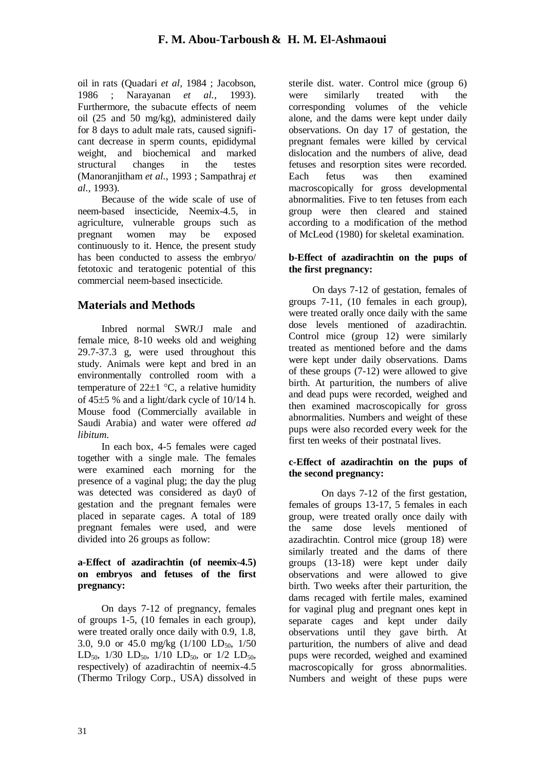oil in rats (Quadari *et al*, 1984 ; Jacobson, 1986 ; Narayanan *et al.*, 1993). Furthermore, the subacute effects of neem oil (25 and 50 mg/kg), administered daily for 8 days to adult male rats, caused significant decrease in sperm counts, epididymal weight, and biochemical and marked structural changes in the testes (Manoranjitham *et al.*, 1993 ; Sampathraj *et al.*, 1993).

 Because of the wide scale of use of neem-based insecticide, Neemix-4.5, in agriculture, vulnerable groups such as pregnant women may be exposed continuously to it. Hence, the present study has been conducted to assess the embryo/ fetotoxic and teratogenic potential of this commercial neem-based insecticide.

# **Materials and Methods**

 Inbred normal SWR/J male and female mice, 8-10 weeks old and weighing 29.7-37.3 g, were used throughout this study. Animals were kept and bred in an environmentally controlled room with a temperature of  $22\pm 1$  °C, a relative humidity of  $45\pm5$  % and a light/dark cycle of  $10/14$  h. Mouse food (Commercially available in Saudi Arabia) and water were offered *ad libitum*.

 In each box, 4-5 females were caged together with a single male. The females were examined each morning for the presence of a vaginal plug; the day the plug was detected was considered as day0 of gestation and the pregnant females were placed in separate cages. A total of 189 pregnant females were used, and were divided into 26 groups as follow:

### **a-Effect of azadirachtin (of neemix-4.5) on embryos and fetuses of the first pregnancy:**

 On days 7-12 of pregnancy, females of groups 1-5, (10 females in each group), were treated orally once daily with 0.9, 1.8, 3.0, 9.0 or 45.0 mg/kg  $(1/100 \text{ LD}_{50}, 1/50$ LD<sub>50</sub>, 1/30 LD<sub>50</sub>, 1/10 LD<sub>50</sub>, or 1/2 LD<sub>50</sub>, respectively) of azadirachtin of neemix-4.5 (Thermo Trilogy Corp., USA) dissolved in

sterile dist. water. Control mice (group 6) were similarly treated with the corresponding volumes of the vehicle alone, and the dams were kept under daily observations. On day 17 of gestation, the pregnant females were killed by cervical dislocation and the numbers of alive, dead fetuses and resorption sites were recorded. Each fetus was then examined macroscopically for gross developmental abnormalities. Five to ten fetuses from each group were then cleared and stained according to a modification of the method of McLeod (1980) for skeletal examination.

## **b-Effect of azadirachtin on the pups of the first pregnancy:**

 On days 7-12 of gestation, females of groups 7-11, (10 females in each group), were treated orally once daily with the same dose levels mentioned of azadirachtin. Control mice (group 12) were similarly treated as mentioned before and the dams were kept under daily observations. Dams of these groups (7-12) were allowed to give birth. At parturition, the numbers of alive and dead pups were recorded, weighed and then examined macroscopically for gross abnormalities. Numbers and weight of these pups were also recorded every week for the first ten weeks of their postnatal lives.

## **c-Effect of azadirachtin on the pups of the second pregnancy:**

On days 7-12 of the first gestation, females of groups 13-17, 5 females in each group, were treated orally once daily with the same dose levels mentioned of azadirachtin. Control mice (group 18) were similarly treated and the dams of there groups (13-18) were kept under daily observations and were allowed to give birth. Two weeks after their parturition, the dams recaged with fertile males, examined for vaginal plug and pregnant ones kept in separate cages and kept under daily observations until they gave birth. At parturition, the numbers of alive and dead pups were recorded, weighed and examined macroscopically for gross abnormalities. Numbers and weight of these pups were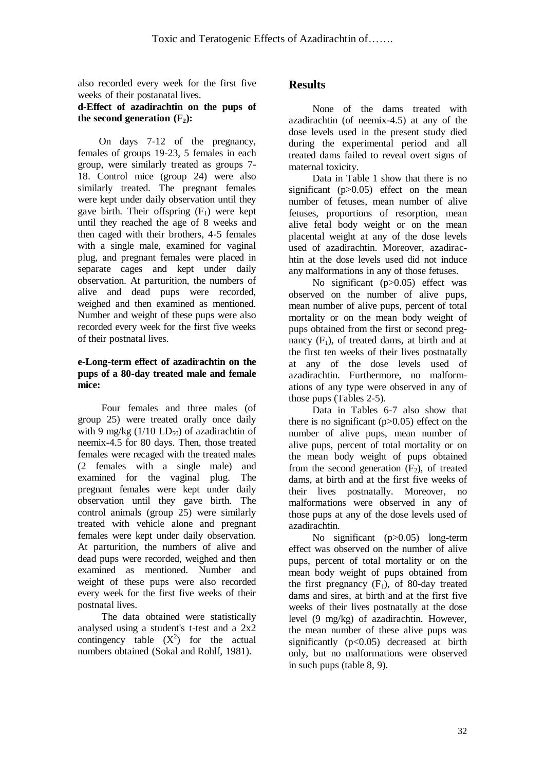also recorded every week for the first five weeks of their postanatal lives.

#### **d-Effect of azadirachtin on the pups of the second generation**  $(F_2)$ **:**

 On days 7-12 of the pregnancy, females of groups 19-23, 5 females in each group, were similarly treated as groups 7- 18. Control mice (group 24) were also similarly treated. The pregnant females were kept under daily observation until they gave birth. Their offspring  $(F_1)$  were kept until they reached the age of 8 weeks and then caged with their brothers, 4-5 females with a single male, examined for vaginal plug, and pregnant females were placed in separate cages and kept under daily observation. At parturition, the numbers of alive and dead pups were recorded, weighed and then examined as mentioned. Number and weight of these pups were also recorded every week for the first five weeks of their postnatal lives.

## **e-Long-term effect of azadirachtin on the pups of a 80-day treated male and female mice:**

 Four females and three males (of group 25) were treated orally once daily with 9 mg/kg  $(1/10 \text{ LD}_{50})$  of azadirachtin of neemix-4.5 for 80 days. Then, those treated females were recaged with the treated males (2 females with a single male) and examined for the vaginal plug. The pregnant females were kept under daily observation until they gave birth. The control animals (group 25) were similarly treated with vehicle alone and pregnant females were kept under daily observation. At parturition, the numbers of alive and dead pups were recorded, weighed and then examined as mentioned. Number and weight of these pups were also recorded every week for the first five weeks of their postnatal lives.

 The data obtained were statistically analysed using a student's t-test and a 2x2 contingency table  $(X^2)$  for the actual numbers obtained (Sokal and Rohlf, 1981).

# **Results**

 None of the dams treated with azadirachtin (of neemix-4.5) at any of the dose levels used in the present study died during the experimental period and all treated dams failed to reveal overt signs of maternal toxicity.

 Data in Table 1 show that there is no significant  $(p>0.05)$  effect on the mean number of fetuses, mean number of alive fetuses, proportions of resorption, mean alive fetal body weight or on the mean placental weight at any of the dose levels used of azadirachtin. Moreover, azadirachtin at the dose levels used did not induce any malformations in any of those fetuses.

 No significant (p>0.05) effect was observed on the number of alive pups, mean number of alive pups, percent of total mortality or on the mean body weight of pups obtained from the first or second pregnancy  $(F_1)$ , of treated dams, at birth and at the first ten weeks of their lives postnatally at any of the dose levels used of azadirachtin. Furthermore, no malformations of any type were observed in any of those pups (Tables 2-5).

 Data in Tables 6-7 also show that there is no significant  $(p>0.05)$  effect on the number of alive pups, mean number of alive pups, percent of total mortality or on the mean body weight of pups obtained from the second generation  $(F_2)$ , of treated dams, at birth and at the first five weeks of their lives postnatally. Moreover, no malformations were observed in any of those pups at any of the dose levels used of azadirachtin.

 No significant (p>0.05) long-term effect was observed on the number of alive pups, percent of total mortality or on the mean body weight of pups obtained from the first pregnancy  $(F_1)$ , of 80-day treated dams and sires, at birth and at the first five weeks of their lives postnatally at the dose level (9 mg/kg) of azadirachtin. However, the mean number of these alive pups was significantly  $(p<0.05)$  decreased at birth only, but no malformations were observed in such pups (table 8, 9).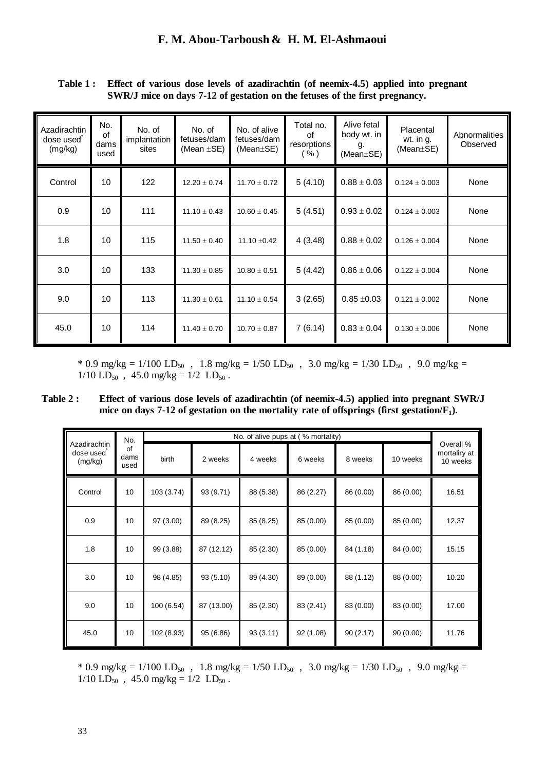| Azadirachtin<br>dose used<br>(mg/kg) | No.<br>of<br>dams<br>used | No. of<br>implantation<br>sites | No. of<br>fetuses/dam<br>(Mean $\pm$ SE) | No. of alive<br>fetuses/dam<br>(Mean $\pm$ SE) | Total no.<br>of<br>resorptions<br>( %) | Alive fetal<br>body wt. in<br>g.<br>(Mean±SE) | Placental<br>wt. in g.<br>(Mean $\pm$ SE) | Abnormalities<br>Observed |
|--------------------------------------|---------------------------|---------------------------------|------------------------------------------|------------------------------------------------|----------------------------------------|-----------------------------------------------|-------------------------------------------|---------------------------|
| Control                              | 10 <sup>1</sup>           | 122                             | $12.20 \pm 0.74$                         | $11.70 \pm 0.72$                               | 5(4.10)                                | $0.88 \pm 0.03$                               | $0.124 \pm 0.003$                         | None                      |
| 0.9                                  | 10                        | 111                             | $11.10 \pm 0.43$                         | $10.60 \pm 0.45$                               | 5(4.51)                                | $0.93 \pm 0.02$                               | $0.124 \pm 0.003$                         | None                      |
| 1.8                                  | 10                        | 115                             | $11.50 \pm 0.40$                         | 11.10 $\pm$ 0.42                               | 4(3.48)                                | $0.88 \pm 0.02$                               | $0.126 \pm 0.004$                         | None                      |
| 3.0                                  | 10                        | 133                             | $11.30 \pm 0.85$                         | $10.80 \pm 0.51$                               | 5(4.42)                                | $0.86 \pm 0.06$                               | $0.122 \pm 0.004$                         | None                      |
| 9.0                                  | 10                        | 113                             | $11.30 \pm 0.61$                         | $11.10 \pm 0.54$                               | 3(2.65)                                | $0.85 \pm 0.03$                               | $0.121 \pm 0.002$                         | None                      |
| 45.0                                 | 10 <sup>1</sup>           | 114                             | $11.40 \pm 0.70$                         | $10.70 \pm 0.87$                               | 7(6.14)                                | $0.83 \pm 0.04$                               | $0.130 \pm 0.006$                         | None                      |

**Table 1 : Effect of various dose levels of azadirachtin (of neemix-4.5) applied into pregnant SWR/J mice on days 7-12 of gestation on the fetuses of the first pregnancy.** 

\* 0.9 mg/kg =  $1/100$  LD<sub>50</sub>, 1.8 mg/kg =  $1/50$  LD<sub>50</sub>, 3.0 mg/kg =  $1/30$  LD<sub>50</sub>, 9.0 mg/kg =  $1/10$  LD<sub>50</sub>, 45.0 mg/kg =  $1/2$  LD<sub>50</sub>.

**Table 2 : Effect of various dose levels of azadirachtin (of neemix-4.5) applied into pregnant SWR/J mice on days 7-12 of gestation on the mortality rate of offsprings (first gestation/F1).**

| Azadirachtin                         | No. |            |            |           | No. of alive pups at (% mortality) |           |           |                                       |
|--------------------------------------|-----|------------|------------|-----------|------------------------------------|-----------|-----------|---------------------------------------|
| dose used<br>dams<br>(mg/kg)<br>used | of  | birth      | 2 weeks    | 4 weeks   | 6 weeks                            | 8 weeks   | 10 weeks  | Overall %<br>mortaliry at<br>10 weeks |
| Control                              | 10  | 103 (3.74) | 93 (9.71)  | 88 (5.38) | 86 (2.27)                          | 86 (0.00) | 86 (0.00) | 16.51                                 |
| 0.9                                  | 10  | 97 (3.00)  | 89 (8.25)  | 85 (8.25) | 85 (0.00)                          | 85 (0.00) | 85 (0.00) | 12.37                                 |
| 1.8                                  | 10  | 99 (3.88)  | 87 (12.12) | 85 (2.30) | 85 (0.00)                          | 84 (1.18) | 84 (0.00) | 15.15                                 |
| 3.0                                  | 10  | 98 (4.85)  | 93 (5.10)  | 89 (4.30) | 89 (0.00)                          | 88 (1.12) | 88 (0.00) | 10.20                                 |
| 9.0                                  | 10  | 100 (6.54) | 87 (13.00) | 85 (2.30) | 83 (2.41)                          | 83 (0.00) | 83 (0.00) | 17.00                                 |
| 45.0                                 | 10  | 102 (8.93) | 95 (6.86)  | 93(3.11)  | 92 (1.08)                          | 90(2.17)  | 90(0.00)  | 11.76                                 |

\* 0.9 mg/kg =  $1/100$  LD<sub>50</sub>, 1.8 mg/kg =  $1/50$  LD<sub>50</sub>, 3.0 mg/kg =  $1/30$  LD<sub>50</sub>, 9.0 mg/kg =  $1/10$  LD<sub>50</sub>, 45.0 mg/kg =  $1/2$  LD<sub>50</sub>.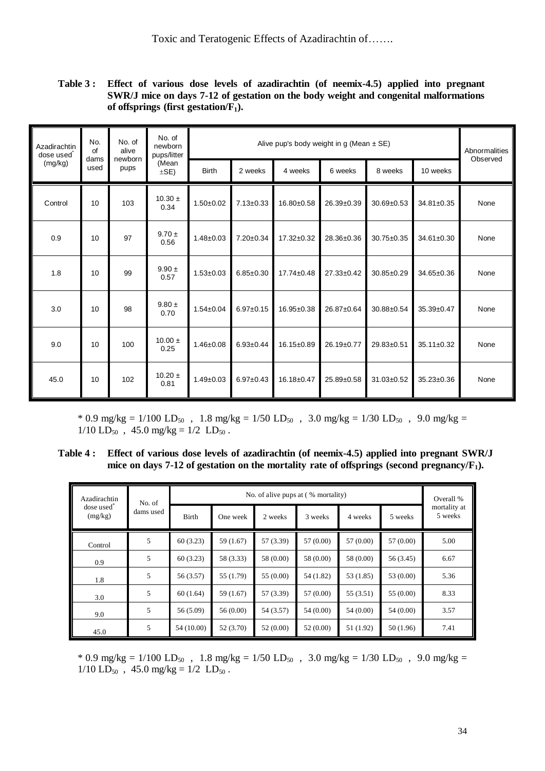**Table 3 : Effect of various dose levels of azadirachtin (of neemix-4.5) applied into pregnant SWR/J mice on days 7-12 of gestation on the body weight and congenital malformations of offsprings (first gestation/F1).** 

| Azadirachtin<br>dose used | No.<br>of<br>dams | No. of<br>alive<br>newborn | No. of<br>newborn<br>pups/litter |                 | Abnormalities<br>Observed |                  |            |                  |            |      |
|---------------------------|-------------------|----------------------------|----------------------------------|-----------------|---------------------------|------------------|------------|------------------|------------|------|
| (mg/kg)                   | used              | pups                       | (Mean<br>$\pm$ SE)               | <b>Birth</b>    | 2 weeks                   | 4 weeks          | 6 weeks    | 8 weeks          | 10 weeks   |      |
| Control                   | 10                | 103                        | $10.30 \pm$<br>0.34              | $1.50 + 0.02$   | $7.13 \pm 0.33$           | 16.80±0.58       | 26.39±0.39 | $30.69 + 0.53$   | 34.81±0.35 | None |
| 0.9                       | 10                | 97                         | $9.70 \pm$<br>0.56               | $1.48 \pm 0.03$ | $7.20 \pm 0.34$           | $17.32 \pm 0.32$ | 28.36±0.36 | $30.75 \pm 0.35$ | 34.61±0.30 | None |
| 1.8                       | 10                | 99                         | $9.90 \pm$<br>0.57               | $1.53 \pm 0.03$ | $6.85 \pm 0.30$           | 17.74±0.48       | 27.33±0.42 | $30.85 \pm 0.29$ | 34.65±0.36 | None |
| 3.0                       | 10                | 98                         | $9.80 \pm$<br>0.70               | $1.54 \pm 0.04$ | $6.97 \pm 0.15$           | $16.95 \pm 0.38$ | 26.87±0.64 | 30.88±0.54       | 35.39±0.47 | None |
| 9.0                       | 10                | 100                        | $10.00 \pm$<br>0.25              | $1.46 \pm 0.08$ | $6.93 \pm 0.44$           | 16.15±0.89       | 26.19±0.77 | 29.83±0.51       | 35.11±0.32 | None |
| 45.0                      | 10                | 102                        | $10.20 \pm$<br>0.81              | $1.49 \pm 0.03$ | $6.97 \pm 0.43$           | 16.18±0.47       | 25.89±0.58 | 31.03±0.52       | 35.23±0.36 | None |

 $*$  0.9 mg/kg = 1/100 LD<sub>50</sub>, 1.8 mg/kg = 1/50 LD<sub>50</sub>, 3.0 mg/kg = 1/30 LD<sub>50</sub>, 9.0 mg/kg =  $1/10$  LD<sub>50</sub>, 45.0 mg/kg =  $1/2$  LD<sub>50</sub>.

**Table 4 : Effect of various dose levels of azadirachtin (of neemix-4.5) applied into pregnant SWR/J mice on days 7-12 of gestation on the mortality rate of offsprings (second pregnancy/F1).** 

| Azadirachtin                      | No. of    |            |           |           | No. of alive pups at (% mortality) |           |           | Overall %               |  |
|-----------------------------------|-----------|------------|-----------|-----------|------------------------------------|-----------|-----------|-------------------------|--|
| dose used <sup>*</sup><br>(mg/kg) | dams used | Birth      | One week  | 2 weeks   | 3 weeks                            | 4 weeks   | 5 weeks   | mortality at<br>5 weeks |  |
| Control                           | 5         | 60(3.23)   | 59 (1.67) | 57 (3.39) | 57 (0.00)                          | 57 (0.00) | 57 (0.00) | 5.00                    |  |
| 0.9                               | 5         | 60(3.23)   | 58 (3.33) | 58 (0.00) | 58 (0.00)                          | 58 (0.00) | 56 (3.45) | 6.67                    |  |
| 1.8                               | 5         | 56 (3.57)  | 55 (1.79) | 55 (0.00) | 54 (1.82)                          | 53 (1.85) | 53 (0.00) | 5.36                    |  |
| 3.0                               | 5         | 60(1.64)   | 59 (1.67) | 57 (3.39) | 57 (0.00)                          | 55 (3.51) | 55 (0.00) | 8.33                    |  |
| 9.0                               | 5         | 56 (5.09)  | 56 (0.00) | 54 (3.57) | 54 (0.00)                          | 54 (0.00) | 54 (0.00) | 3.57                    |  |
| 45.0                              | 5         | 54 (10.00) | 52 (3.70) | 52 (0.00) | 52 (0.00)                          | 51 (1.92) | 50 (1.96) | 7.41                    |  |

 $*$  0.9 mg/kg = 1/100 LD<sub>50</sub>, 1.8 mg/kg = 1/50 LD<sub>50</sub>, 3.0 mg/kg = 1/30 LD<sub>50</sub>, 9.0 mg/kg =  $1/10$  LD<sub>50</sub>, 45.0 mg/kg =  $1/2$  LD<sub>50</sub>.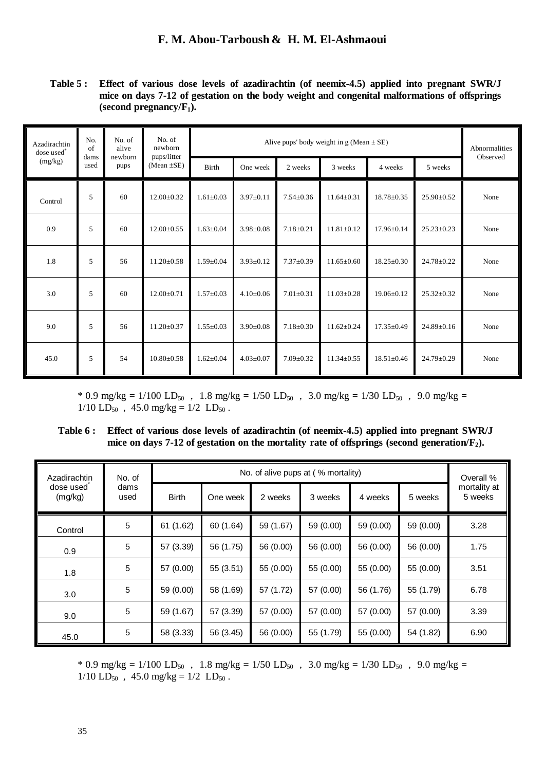**Table 5 : Effect of various dose levels of azadirachtin (of neemix-4.5) applied into pregnant SWR/J mice on days 7-12 of gestation on the body weight and congenital malformations of offsprings**   $(\text{second pregnancy}/\text{F}_1)$ .

| No.<br>Azadirachtin<br>of<br>dose used <sup>*</sup><br>dams<br>(mg/kg)<br>used |      | No. of<br>alive<br>newborn     | No. of<br>newborn |                 | Abnormalities<br>Observed |                 |                  |                  |                  |      |
|--------------------------------------------------------------------------------|------|--------------------------------|-------------------|-----------------|---------------------------|-----------------|------------------|------------------|------------------|------|
|                                                                                | pups | pups/litter<br>(Mean $\pm$ SE) | <b>Birth</b>      | One week        | 2 weeks                   | 3 weeks         | 4 weeks          | 5 weeks          |                  |      |
| Control                                                                        | 5    | 60                             | $12.00 \pm 0.32$  | $1.61 \pm 0.03$ | $3.97 \pm 0.11$           | $7.54 \pm 0.36$ | $11.64 \pm 0.31$ | $18.78 \pm 0.35$ | $25.90 \pm 0.52$ | None |
| 0.9                                                                            | 5    | 60                             | $12.00 \pm 0.55$  | $1.63 \pm 0.04$ | $3.98 \pm 0.08$           | $7.18 \pm 0.21$ | $11.81 \pm 0.12$ | 17.96±0.14       | $25.23 \pm 0.23$ | None |
| 1.8                                                                            | 5    | 56                             | $11.20 \pm 0.58$  | $1.59 \pm 0.04$ | $3.93 \pm 0.12$           | $7.37 \pm 0.39$ | $11.65 \pm 0.60$ | $18.25 \pm 0.30$ | $24.78 \pm 0.22$ | None |
| 3.0                                                                            | 5    | 60                             | $12.00 \pm 0.71$  | $1.57 \pm 0.03$ | $4.10 \pm 0.06$           | $7.01 \pm 0.31$ | $11.03 \pm 0.28$ | $19.06 \pm 0.12$ | $25.32 \pm 0.32$ | None |
| 9.0                                                                            | 5    | 56                             | $11.20 \pm 0.37$  | $1.55 \pm 0.03$ | $3.90 \pm 0.08$           | $7.18 \pm 0.30$ | $11.62 \pm 0.24$ | $17.35 \pm 0.49$ | $24.89 \pm 0.16$ | None |
| 45.0                                                                           | 5    | 54                             | $10.80 \pm 0.58$  | $1.62 \pm 0.04$ | $4.03 \pm 0.07$           | $7.09 \pm 0.32$ | $11.34 \pm 0.55$ | $18.51 \pm 0.46$ | $24.79 \pm 0.29$ | None |

\* 0.9 mg/kg =  $1/100$  LD<sub>50</sub>, 1.8 mg/kg =  $1/50$  LD<sub>50</sub>, 3.0 mg/kg =  $1/30$  LD<sub>50</sub>, 9.0 mg/kg =  $1/10$  LD<sub>50</sub>, 45.0 mg/kg =  $1/2$  LD<sub>50</sub>.

**Table 6 : Effect of various dose levels of azadirachtin (of neemix-4.5) applied into pregnant SWR/J mice on days 7-12 of gestation on the mortality rate of offsprings (second generation/F2).** 

| Azadirachtin         | No. of       |              |           | No. of alive pups at (% mortality) |           |           |           | Overall %               |
|----------------------|--------------|--------------|-----------|------------------------------------|-----------|-----------|-----------|-------------------------|
| dose used<br>(mg/kg) | dams<br>used | <b>Birth</b> | One week  | 2 weeks                            | 3 weeks   | 4 weeks   | 5 weeks   | mortality at<br>5 weeks |
| Control              | $\sqrt{5}$   | 61 (1.62)    | 60 (1.64) | 59 (1.67)                          | 59 (0.00) | 59 (0.00) | 59 (0.00) | 3.28                    |
| 0.9                  | 5            | 57 (3.39)    | 56 (1.75) | 56 (0.00)                          | 56 (0.00) | 56 (0.00) | 56 (0.00) | 1.75                    |
| 1.8                  | 5            | 57 (0.00)    | 55(3.51)  | 55 (0.00)                          | 55 (0.00) | 55 (0.00) | 55 (0.00) | 3.51                    |
| 3.0                  | 5            | 59 (0.00)    | 58 (1.69) | 57 (1.72)                          | 57 (0.00) | 56 (1.76) | 55 (1.79) | 6.78                    |
| 9.0                  | 5            | 59 (1.67)    | 57 (3.39) | 57 (0.00)                          | 57 (0.00) | 57 (0.00) | 57 (0.00) | 3.39                    |
| 45.0                 | 5            | 58 (3.33)    | 56 (3.45) | 56 (0.00)                          | 55 (1.79) | 55 (0.00) | 54 (1.82) | 6.90                    |

 $*$  0.9 mg/kg = 1/100 LD<sub>50</sub>, 1.8 mg/kg = 1/50 LD<sub>50</sub>, 3.0 mg/kg = 1/30 LD<sub>50</sub>, 9.0 mg/kg =  $1/10$  LD<sub>50</sub>,  $45.0$  mg/kg =  $1/2$  LD<sub>50</sub>.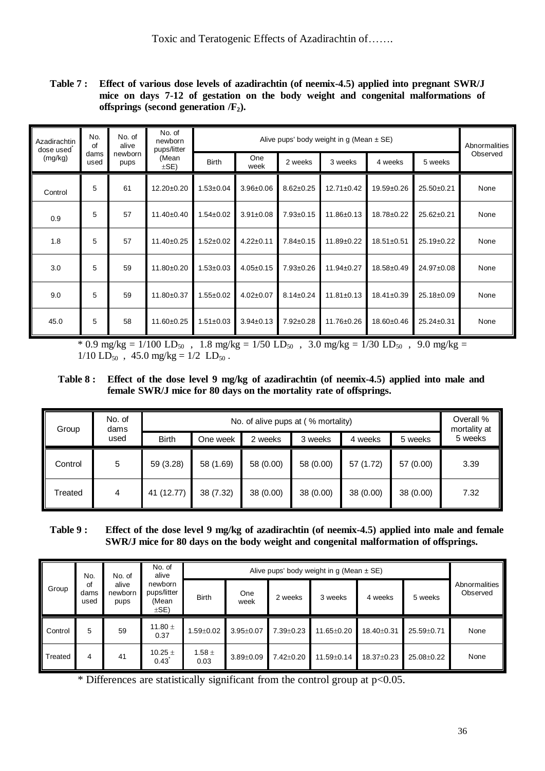**Table 7 : Effect of various dose levels of azadirachtin (of neemix-4.5) applied into pregnant SWR/J mice on days 7-12 of gestation on the body weight and congenital malformations of offsprings (second generation /F2).** 

| Azadirachtin<br>dose used | No.<br>of       | No. of<br>alive    | No. of<br>newborn<br>pups/litter |                 | Abnormalities   |                 |                  |                  |            |      |
|---------------------------|-----------------|--------------------|----------------------------------|-----------------|-----------------|-----------------|------------------|------------------|------------|------|
| dams<br>(mg/kg)<br>used   | newborn<br>pups | (Mean<br>$\pm$ SE) | <b>Birth</b>                     | One<br>week     | 2 weeks         | 3 weeks         | 4 weeks          | 5 weeks          | Observed   |      |
| Control                   | 5               | 61                 | $12.20 \pm 0.20$                 | $1.53 \pm 0.04$ | $3.96 \pm 0.06$ | $8.62 \pm 0.25$ | $12.71 \pm 0.42$ | 19.59±0.26       | 25.50±0.21 | None |
| 0.9                       | 5               | 57                 | $11.40 \pm 0.40$                 | $1.54 \pm 0.02$ | $3.91 \pm 0.08$ | $7.93 \pm 0.15$ | 11.86±0.13       | 18.78±0.22       | 25.62±0.21 | None |
| 1.8                       | 5               | 57                 | 11.40±0.25                       | $1.52 \pm 0.02$ | $4.22 \pm 0.11$ | $7.84 \pm 0.15$ | 11.89±0.22       | $18.51 \pm 0.51$ | 25.19±0.22 | None |
| 3.0                       | 5               | 59                 | 11.80±0.20                       | $1.53 \pm 0.03$ | $4.05 \pm 0.15$ | $7.93 \pm 0.26$ | 11.94±0.27       | 18.58±0.49       | 24.97±0.08 | None |
| 9.0                       | 5               | 59                 | $11.80 + 0.37$                   | $1.55 \pm 0.02$ | $4.02 \pm 0.07$ | $8.14 \pm 0.24$ | $11.81 \pm 0.13$ | $18.41 \pm 0.39$ | 25.18±0.09 | None |
| 45.0                      | 5               | 58                 | 11.60±0.25                       | $1.51 \pm 0.03$ | $3.94 \pm 0.13$ | $7.92 \pm 0.28$ | 11.76±0.26       | 18.60±0.46       | 25.24±0.31 | None |

 $*$  0.9 mg/kg = 1/100 LD<sub>50</sub>, 1.8 mg/kg = 1/50 LD<sub>50</sub>, 3.0 mg/kg = 1/30 LD<sub>50</sub>, 9.0 mg/kg =  $1/10$  LD<sub>50</sub>, 45.0 mg/kg =  $1/2$  LD<sub>50</sub>.

**Table 8 : Effect of the dose level 9 mg/kg of azadirachtin (of neemix-4.5) applied into male and female SWR/J mice for 80 days on the mortality rate of offsprings.** 

| Group<br>dams<br>used | No. of |              |           | Overall %<br>mortality at |           |           |           |         |
|-----------------------|--------|--------------|-----------|---------------------------|-----------|-----------|-----------|---------|
|                       |        | <b>Birth</b> | One week  | 2 weeks                   | 3 weeks   | 4 weeks   | 5 weeks   | 5 weeks |
| Control               | 5      | 59 (3.28)    | 58 (1.69) | 58 (0.00)                 | 58 (0.00) | 57 (1.72) | 57 (0.00) | 3.39    |
| Treated               | 4      | 41 (12.77)   | 38 (7.32) | 38 (0.00)                 | 38 (0.00) | 38 (0.00) | 38 (0.00) | 7.32    |

## **Table 9 : Effect of the dose level 9 mg/kg of azadirachtin (of neemix-4.5) applied into male and female SWR/J mice for 80 days on the body weight and congenital malformation of offsprings.**

| No.<br>of<br>Group<br>used |      | No. of                   | No. of<br>alive<br>newborn<br>pups/litter<br>(Mean<br>$\pm$ SE) |                    |                 |                 |                  |            |                  |                           |
|----------------------------|------|--------------------------|-----------------------------------------------------------------|--------------------|-----------------|-----------------|------------------|------------|------------------|---------------------------|
|                            | dams | alive<br>newborn<br>pups |                                                                 | <b>Birth</b>       | One<br>week     | 2 weeks         | 3 weeks          | 4 weeks    | 5 weeks          | Abnormalities<br>Observed |
| Control                    | 5    | 59                       | 11.80 $\pm$<br>0.37                                             | $1.59 \pm 0.02$    | $3.95 \pm 0.07$ | $7.39 \pm 0.23$ | 11.65±0.20       | 18.40±0.31 | $25.59 \pm 0.71$ | None                      |
| Treated                    | 4    | 41                       | 10.25 $\pm$<br>0.43                                             | $1.58 \pm$<br>0.03 | $3.89 \pm 0.09$ | $7.42 \pm 0.20$ | $11.59 \pm 0.14$ | 18.37±0.23 | 25.08±0.22       | None                      |

\* Differences are statistically significant from the control group at  $p<0.05$ .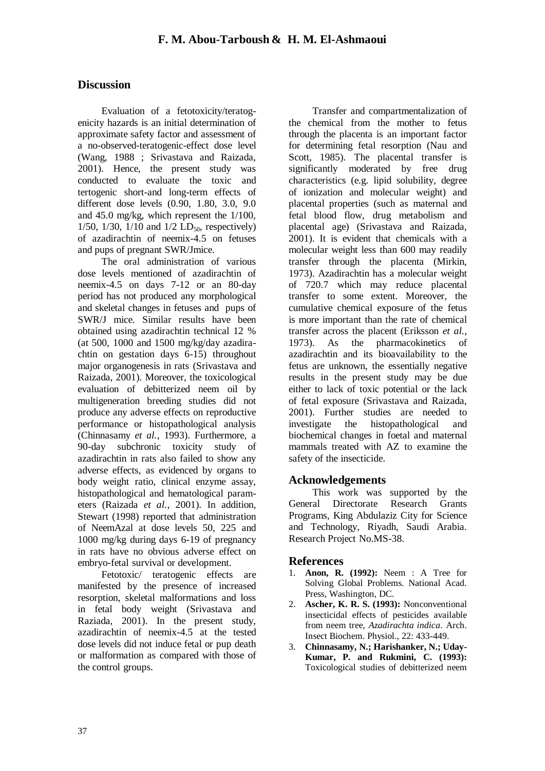# **Discussion**

 Evaluation of a fetotoxicity/teratogenicity hazards is an initial determination of approximate safety factor and assessment of a no-observed-teratogenic-effect dose level (Wang, 1988 ; Srivastava and Raizada, 2001). Hence, the present study was conducted to evaluate the toxic and tertogenic short-and long-term effects of different dose levels (0.90, 1.80, 3.0, 9.0 and 45.0 mg/kg, which represent the 1/100,  $1/50$ ,  $1/30$ ,  $1/10$  and  $1/2$  LD<sub>50</sub>, respectively) of azadirachtin of neemix-4.5 on fetuses and pups of pregnant SWR/Jmice.

 The oral administration of various dose levels mentioned of azadirachtin of neemix-4.5 on days 7-12 or an 80-day period has not produced any morphological and skeletal changes in fetuses and pups of SWR/J mice. Similar results have been obtained using azadirachtin technical 12 % (at 500, 1000 and 1500 mg/kg/day azadirachtin on gestation days 6-15) throughout major organogenesis in rats (Srivastava and Raizada, 2001). Moreover, the toxicological evaluation of debitterized neem oil by multigeneration breeding studies did not produce any adverse effects on reproductive performance or histopathological analysis (Chinnasamy *et al.*, 1993). Furthermore, a 90-day subchronic toxicity study of azadirachtin in rats also failed to show any adverse effects, as evidenced by organs to body weight ratio, clinical enzyme assay, histopathological and hematological parameters (Raizada *et al.*, 2001). In addition, Stewart (1998) reported that administration of NeemAzal at dose levels 50, 225 and 1000 mg/kg during days 6-19 of pregnancy in rats have no obvious adverse effect on embryo-fetal survival or development.

 Fetotoxic/ teratogenic effects are manifested by the presence of increased resorption, skeletal malformations and loss in fetal body weight (Srivastava and Raziada, 2001). In the present study, azadirachtin of neemix-4.5 at the tested dose levels did not induce fetal or pup death or malformation as compared with those of the control groups.

 Transfer and compartmentalization of the chemical from the mother to fetus through the placenta is an important factor for determining fetal resorption (Nau and Scott, 1985). The placental transfer is significantly moderated by free drug characteristics (e.g. lipid solubility, degree of ionization and molecular weight) and placental properties (such as maternal and fetal blood flow, drug metabolism and placental age) (Srivastava and Raizada, 2001). It is evident that chemicals with a molecular weight less than 600 may readily transfer through the placenta (Mirkin, 1973). Azadirachtin has a molecular weight of 720.7 which may reduce placental transfer to some extent. Moreover, the cumulative chemical exposure of the fetus is more important than the rate of chemical transfer across the placent (Eriksson *et al.*, 1973). As the pharmacokinetics of azadirachtin and its bioavailability to the fetus are unknown, the essentially negative results in the present study may be due either to lack of toxic potential or the lack of fetal exposure (Srivastava and Raizada, 2001). Further studies are needed to investigate the histopathological and biochemical changes in foetal and maternal mammals treated with AZ to examine the safety of the insecticide.

## **Acknowledgements**

 This work was supported by the General Directorate Research Grants Programs, King Abdulaziz City for Science and Technology, Riyadh, Saudi Arabia. Research Project No.MS-38.

## **References**

- 1. **Anon, R. (1992):** Neem : A Tree for Solving Global Problems. National Acad. Press, Washington, DC.
- 2. **Ascher, K. R. S. (1993):** Nonconventional insecticidal effects of pesticides available from neem tree, *Azadirachta indica*. Arch. Insect Biochem. Physiol., 22: 433-449.
- 3. **Chinnasamy, N.; Harishanker, N.; Uday-Kumar, P. and Rukmini, C. (1993):**  Toxicological studies of debitterized neem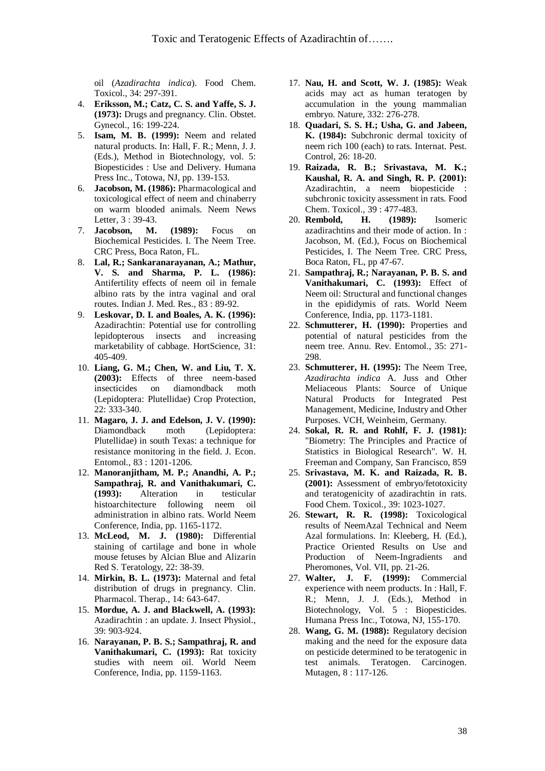oil (*Azadirachta indica*). Food Chem. Toxicol., 34: 297-391.

- 4. **Eriksson, M.; Catz, C. S. and Yaffe, S. J. (1973):** Drugs and pregnancy. Clin. Obstet. Gynecol., 16: 199-224.
- 5. **Isam, M. B. (1999):** Neem and related natural products. In: Hall, F. R.; Menn, J. J. (Eds.), Method in Biotechnology, vol. 5: Biopesticides : Use and Delivery. Humana Press Inc., Totowa, NJ, pp. 139-153.
- 6. **Jacobson, M. (1986):** Pharmacological and toxicological effect of neem and chinaberry on warm blooded animals. Neem News Letter, 3 : 39-43.
- 7. **Jacobson, M. (1989):** Focus on Biochemical Pesticides. I. The Neem Tree. CRC Press, Boca Raton, FL.
- 8. **Lal, R.; Sankaranarayanan, A.; Mathur, V. S. and Sharma, P. L. (1986):**  Antifertility effects of neem oil in female albino rats by the intra vaginal and oral routes. Indian J. Med. Res., 83 : 89-92.
- 9. **Leskovar, D. I. and Boales, A. K. (1996):**  Azadirachtin: Potential use for controlling lepidopterous insects and increasing marketability of cabbage. HortScience, 31: 405-409.
- 10. **Liang, G. M.; Chen, W. and Liu, T. X. (2003):** Effects of three neem-based insecticides on diamondback moth (Lepidoptera: Plutellidae) Crop Protection, 22: 333-340.
- 11. **Magaro, J. J. and Edelson, J. V. (1990):**  Diamondback moth (Lepidoptera: Plutellidae) in south Texas: a technique for resistance monitoring in the field. J. Econ. Entomol., 83 : 1201-1206.
- 12. **Manoranjitham, M. P.; Anandhi, A. P.; Sampathraj, R. and Vanithakumari, C. (1993):** Alteration in testicular histoarchitecture following administration in albino rats. World Neem Conference, India, pp. 1165-1172.
- 13. **McLeod, M. J. (1980):** Differential staining of cartilage and bone in whole mouse fetuses by Alcian Blue and Alizarin Red S. Teratology, 22: 38-39.
- 14. **Mirkin, B. L. (1973):** Maternal and fetal distribution of drugs in pregnancy. Clin. Pharmacol. Therap., 14: 643-647.
- 15. **Mordue, A. J. and Blackwell, A. (1993):**  Azadirachtin : an update. J. Insect Physiol., 39: 903-924.
- 16. **Narayanan, P. B. S.; Sampathraj, R. and Vanithakumari, C. (1993):** Rat toxicity studies with neem oil. World Neem Conference, India, pp. 1159-1163.
- 17. **Nau, H. and Scott, W. J. (1985):** Weak acids may act as human teratogen by accumulation in the young mammalian embryo. Nature, 332: 276-278.
- 18. **Quadari, S. S. H.; Usha, G. and Jabeen, K. (1984):** Subchronic dermal toxicity of neem rich 100 (each) to rats. Internat. Pest. Control, 26: 18-20.
- 19. **Raizada, R. B.; Srivastava, M. K.; Kaushal, R. A. and Singh, R. P. (2001):**  Azadirachtin, a neem biopesticide : subchronic toxicity assessment in rats. Food Chem. Toxicol., 39 : 477-483.
- 20. **Rembold, H. (1989):** Isomeric azadirachtins and their mode of action. In : Jacobson, M. (Ed.), Focus on Biochemical Pesticides, I. The Neem Tree. CRC Press, Boca Raton, FL, pp 47-67.
- 21. **Sampathraj, R.; Narayanan, P. B. S. and Vanithakumari, C. (1993):** Effect of Neem oil: Structural and functional changes in the epididymis of rats. World Neem Conference, India, pp. 1173-1181.
- 22. **Schmutterer, H. (1990):** Properties and potential of natural pesticides from the neem tree. Annu. Rev. Entomol., 35: 271- 298.
- 23. **Schmutterer, H. (1995):** The Neem Tree, *Azadirachta indica* A. Juss and Other Meliaceous Plants: Source of Unique Natural Products for Integrated Pest Management, Medicine, Industry and Other Purposes. VCH, Weinheim, Germany.
- 24. **Sokal, R. R. and Rohlf, F. J. (1981):**  "Biometry: The Principles and Practice of Statistics in Biological Research". W. H. Freeman and Company, San Francisco, 859
- 25. **Srivastava, M. K. and Raizada, R. B. (2001):** Assessment of embryo/fetotoxicity and teratogenicity of azadirachtin in rats. Food Chem. Toxicol., 39: 1023-1027.
- 26. **Stewart, R. R. (1998):** Toxicological results of NeemAzal Technical and Neem Azal formulations. In: Kleeberg, H. (Ed.), Practice Oriented Results on Use and Production of Neem-Ingradients and Pheromones, Vol. VII, pp. 21-26.
- 27. **Walter, J. F. (1999):** Commercial experience with neem products. In : Hall, F. R.; Menn, J. J. (Eds.), Method in Biotechnology, Vol. 5 : Biopesticides. Humana Press Inc., Totowa, NJ, 155-170.
- 28. **Wang, G. M. (1988):** Regulatory decision making and the need for the exposure data on pesticide determined to be teratogenic in test animals. Teratogen. Carcinogen. Mutagen, 8 : 117-126.